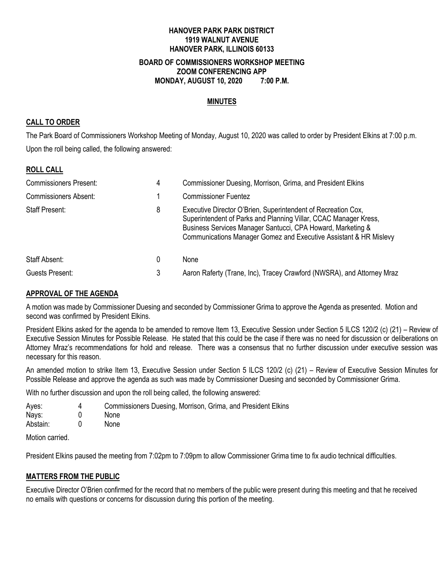#### **HANOVER PARK PARK DISTRICT 1919 WALNUT AVENUE HANOVER PARK, ILLINOIS 60133 BOARD OF COMMISSIONERS WORKSHOP MEETING ZOOM CONFERENCING APP**

**MONDAY, AUGUST 10, 2020 7:00 P.M.**

### **MINUTES**

### **CALL TO ORDER**

The Park Board of Commissioners Workshop Meeting of Monday, August 10, 2020 was called to order by President Elkins at 7:00 p.m. Upon the roll being called, the following answered:

### **ROLL CALL**

| <b>Commissioners Present:</b> | 4 | Commissioner Duesing, Morrison, Grima, and President Elkins                                                                                                                                                                                                           |  |
|-------------------------------|---|-----------------------------------------------------------------------------------------------------------------------------------------------------------------------------------------------------------------------------------------------------------------------|--|
| <b>Commissioners Absent:</b>  |   | <b>Commissioner Fuentez</b>                                                                                                                                                                                                                                           |  |
| <b>Staff Present:</b>         | 8 | Executive Director O'Brien, Superintendent of Recreation Cox,<br>Superintendent of Parks and Planning Villar, CCAC Manager Kress,<br>Business Services Manager Santucci, CPA Howard, Marketing &<br>Communications Manager Gomez and Executive Assistant & HR Mislevy |  |
| Staff Absent:                 | 0 | None                                                                                                                                                                                                                                                                  |  |
| Guests Present:               | 3 | Aaron Raferty (Trane, Inc), Tracey Crawford (NWSRA), and Attorney Mraz                                                                                                                                                                                                |  |

### **APPROVAL OF THE AGENDA**

A motion was made by Commissioner Duesing and seconded by Commissioner Grima to approve the Agenda as presented. Motion and second was confirmed by President Elkins.

President Elkins asked for the agenda to be amended to remove Item 13, Executive Session under Section 5 ILCS 120/2 (c) (21) – Review of Executive Session Minutes for Possible Release. He stated that this could be the case if there was no need for discussion or deliberations on Attorney Mraz's recommendations for hold and release. There was a consensus that no further discussion under executive session was necessary for this reason.

An amended motion to strike Item 13, Executive Session under Section 5 ILCS 120/2 (c) (21) – Review of Executive Session Minutes for Possible Release and approve the agenda as such was made by Commissioner Duesing and seconded by Commissioner Grima.

With no further discussion and upon the roll being called, the following answered:

| Ayes:          | 4 | Commissioners Duesing, Morrison, Grima, and President Elkins |
|----------------|---|--------------------------------------------------------------|
| Nays:          |   | None                                                         |
| Abstain:       |   | None                                                         |
| Motion carriod |   |                                                              |

Motion carried.

President Elkins paused the meeting from 7:02pm to 7:09pm to allow Commissioner Grima time to fix audio technical difficulties.

### **MATTERS FROM THE PUBLIC**

Executive Director O'Brien confirmed for the record that no members of the public were present during this meeting and that he received no emails with questions or concerns for discussion during this portion of the meeting.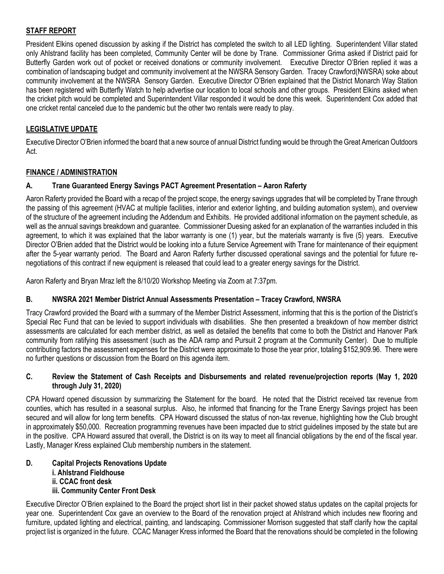## **STAFF REPORT**

President Elkins opened discussion by asking if the District has completed the switch to all LED lighting. Superintendent Villar stated only Ahlstrand facility has been completed, Community Center will be done by Trane. Commissioner Grima asked if District paid for Butterfly Garden work out of pocket or received donations or community involvement. Executive Director O'Brien replied it was a combination of landscaping budget and community involvement at the NWSRA Sensory Garden. Tracey Crawford(NWSRA) soke about community involvement at the NWSRA Sensory Garden. Executive Director O'Brien explained that the District Monarch Way Station has been registered with Butterfly Watch to help advertise our location to local schools and other groups. President Elkins asked when the cricket pitch would be completed and Superintendent Villar responded it would be done this week. Superintendent Cox added that one cricket rental canceled due to the pandemic but the other two rentals were ready to play.

## **LEGISLATIVE UPDATE**

Executive Director O'Brien informed the board that a new source of annual District funding would be through the Great American Outdoors Act.

### **FINANCE / ADMINISTRATION**

### **A. Trane Guaranteed Energy Savings PACT Agreement Presentation – Aaron Raferty**

Aaron Raferty provided the Board with a recap of the project scope, the energy savings upgrades that will be completed by Trane through the passing of this agreement (HVAC at multiple facilities, interior and exterior lighting, and building automation system), and overview of the structure of the agreement including the Addendum and Exhibits. He provided additional information on the payment schedule, as well as the annual savings breakdown and guarantee. Commissioner Duesing asked for an explanation of the warranties included in this agreement, to which it was explained that the labor warranty is one (1) year, but the materials warranty is five (5) years. Executive Director O'Brien added that the District would be looking into a future Service Agreement with Trane for maintenance of their equipment after the 5-year warranty period. The Board and Aaron Raferty further discussed operational savings and the potential for future renegotiations of this contract if new equipment is released that could lead to a greater energy savings for the District.

Aaron Raferty and Bryan Mraz left the 8/10/20 Workshop Meeting via Zoom at 7:37pm.

### **B. NWSRA 2021 Member District Annual Assessments Presentation – Tracey Crawford, NWSRA**

Tracy Crawford provided the Board with a summary of the Member District Assessment, informing that this is the portion of the District's Special Rec Fund that can be levied to support individuals with disabilities. She then presented a breakdown of how member district assessments are calculated for each member district, as well as detailed the benefits that come to both the District and Hanover Park community from ratifying this assessment (such as the ADA ramp and Pursuit 2 program at the Community Center). Due to multiple contributing factors the assessment expenses for the District were approximate to those the year prior, totaling \$152,909.96. There were no further questions or discussion from the Board on this agenda item.

#### **C. Review the Statement of Cash Receipts and Disbursements and related revenue/projection reports (May 1, 2020 through July 31, 2020)**

CPA Howard opened discussion by summarizing the Statement for the board. He noted that the District received tax revenue from counties, which has resulted in a seasonal surplus. Also, he informed that financing for the Trane Energy Savings project has been secured and will allow for long term benefits. CPA Howard discussed the status of non-tax revenue, highlighting how the Club brought in approximately \$50,000. Recreation programming revenues have been impacted due to strict guidelines imposed by the state but are in the positive. CPA Howard assured that overall, the District is on its way to meet all financial obligations by the end of the fiscal year. Lastly, Manager Kress explained Club membership numbers in the statement.

### **D. Capital Projects Renovations Update i. Ahlstrand Fieldhouse ii. CCAC front desk iii. Community Center Front Desk**

Executive Director O'Brien explained to the Board the project short list in their packet showed status updates on the capital projects for year one. Superintendent Cox gave an overview to the Board of the renovation project at Ahlstrand which includes new flooring and furniture, updated lighting and electrical, painting, and landscaping. Commissioner Morrison suggested that staff clarify how the capital project list is organized in the future. CCAC Manager Kress informed the Board that the renovations should be completed in the following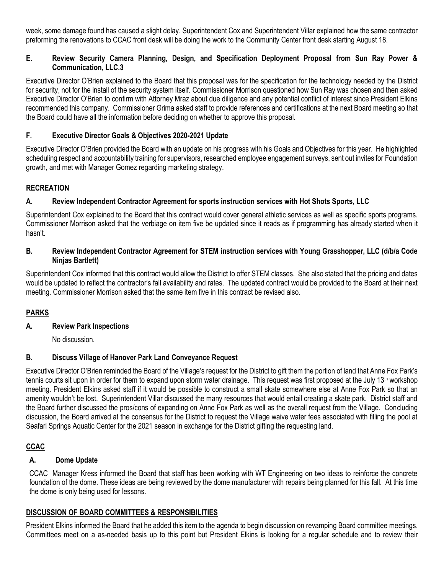week, some damage found has caused a slight delay. Superintendent Cox and Superintendent Villar explained how the same contractor preforming the renovations to CCAC front desk will be doing the work to the Community Center front desk starting August 18.

### **E. Review Security Camera Planning, Design, and Specification Deployment Proposal from Sun Ray Power & Communication, LLC.3**

Executive Director O'Brien explained to the Board that this proposal was for the specification for the technology needed by the District for security, not for the install of the security system itself. Commissioner Morrison questioned how Sun Ray was chosen and then asked Executive Director O'Brien to confirm with Attorney Mraz about due diligence and any potential conflict of interest since President Elkins recommended this company. Commissioner Grima asked staff to provide references and certifications at the next Board meeting so that the Board could have all the information before deciding on whether to approve this proposal.

## **F. Executive Director Goals & Objectives 2020-2021 Update**

Executive Director O'Brien provided the Board with an update on his progress with his Goals and Objectives for this year. He highlighted scheduling respect and accountability training for supervisors, researched employee engagement surveys, sent out invites for Foundation growth, and met with Manager Gomez regarding marketing strategy.

### **RECREATION**

### **A. Review Independent Contractor Agreement for sports instruction services with Hot Shots Sports, LLC**

Superintendent Cox explained to the Board that this contract would cover general athletic services as well as specific sports programs. Commissioner Morrison asked that the verbiage on item five be updated since it reads as if programming has already started when it hasn't.

#### **B. Review Independent Contractor Agreement for STEM instruction services with Young Grasshopper, LLC (d/b/a Code Ninjas Bartlett)**

Superintendent Cox informed that this contract would allow the District to offer STEM classes. She also stated that the pricing and dates would be updated to reflect the contractor's fall availability and rates. The updated contract would be provided to the Board at their next meeting. Commissioner Morrison asked that the same item five in this contract be revised also.

## **PARKS**

### **A. Review Park Inspections**

No discussion.

### **B. Discuss Village of Hanover Park Land Conveyance Request**

Executive Director O'Brien reminded the Board of the Village's request for the District to gift them the portion of land that Anne Fox Park's tennis courts sit upon in order for them to expand upon storm water drainage. This request was first proposed at the July 13<sup>th</sup> workshop meeting. President Elkins asked staff if it would be possible to construct a small skate somewhere else at Anne Fox Park so that an amenity wouldn't be lost. Superintendent Villar discussed the many resources that would entail creating a skate park. District staff and the Board further discussed the pros/cons of expanding on Anne Fox Park as well as the overall request from the Village. Concluding discussion, the Board arrived at the consensus for the District to request the Village waive water fees associated with filling the pool at Seafari Springs Aquatic Center for the 2021 season in exchange for the District gifting the requesting land.

## **CCAC**

### **A. Dome Update**

CCAC Manager Kress informed the Board that staff has been working with WT Engineering on two ideas to reinforce the concrete foundation of the dome. These ideas are being reviewed by the dome manufacturer with repairs being planned for this fall. At this time the dome is only being used for lessons.

### **DISCUSSION OF BOARD COMMITTEES & RESPONSIBILITIES**

President Elkins informed the Board that he added this item to the agenda to begin discussion on revamping Board committee meetings. Committees meet on a as-needed basis up to this point but President Elkins is looking for a regular schedule and to review their